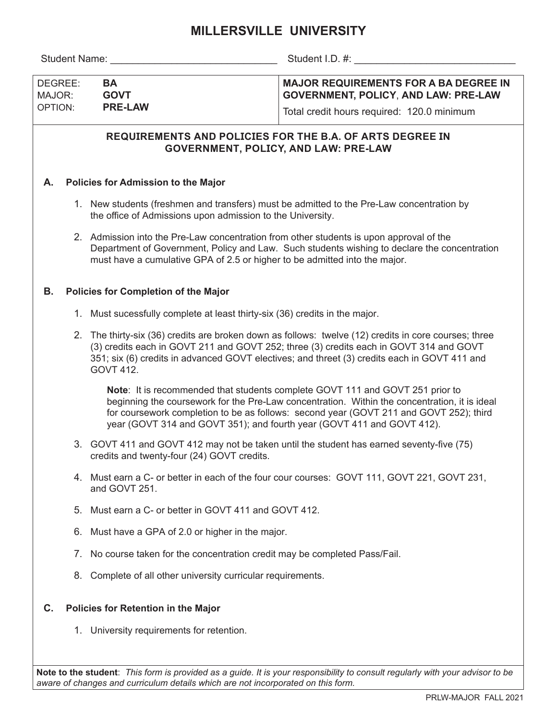# **MILLERSVILLE UNIVERSITY**

Student Name:  $\overline{\phantom{a}}$  Student I.D. #:

| DEGREE:<br>MAJOR:<br>l Option: | BА<br><b>GOVT</b><br><b>PRE-LAW</b> | MAJOR REQUIREMENTS FOR A BA DEGREE IN<br><b>GOVERNMENT, POLICY, AND LAW: PRE-LAW</b> |  |  |  |
|--------------------------------|-------------------------------------|--------------------------------------------------------------------------------------|--|--|--|
|                                |                                     | Total credit hours required: 120.0 minimum                                           |  |  |  |

### **REQUIREMENTS AND POLICIES FOR THE B.A. OF ARTS DEGREE IN GOVERNMENT, POLICY, AND LAW: PRE-LAW**

### **A. Policies for Admission to the Major**

- 1. New students (freshmen and transfers) must be admitted to the Pre-Law concentration by the office of Admissions upon admission to the University.
- 2. Admission into the Pre-Law concentration from other students is upon approval of the Department of Government, Policy and Law. Such students wishing to declare the concentration must have a cumulative GPA of 2.5 or higher to be admitted into the major.

#### **B. Policies for Completion of the Major**

- 1. Must sucessfully complete at least thirty-six (36) credits in the major.
- 2. The thirty-six (36) credits are broken down as follows: twelve (12) credits in core courses; three (3) credits each in GOVT 211 and GOVT 252; three (3) credits each in GOVT 314 and GOVT 351; six (6) credits in advanced GOVT electives; and threet (3) credits each in GOVT 411 and GOVT 412.

**Note**: It is recommended that students complete GOVT 111 and GOVT 251 prior to beginning the coursework for the Pre-Law concentration. Within the concentration, it is ideal for coursework completion to be as follows: second year (GOVT 211 and GOVT 252); third year (GOVT 314 and GOVT 351); and fourth year (GOVT 411 and GOVT 412).

- 3. GOVT 411 and GOVT 412 may not be taken until the student has earned seventy-five (75) credits and twenty-four (24) GOVT credits.
- 4. Must earn a C- or better in each of the four cour courses: GOVT 111, GOVT 221, GOVT 231, and GOVT 251.
- 5. Must earn a C- or better in GOVT 411 and GOVT 412.
- 6. Must have a GPA of 2.0 or higher in the major.
- 7. No course taken for the concentration credit may be completed Pass/Fail.
- 8. Complete of all other university curricular requirements.

#### **C. Policies for Retention in the Major**

1. University requirements for retention.

**Note to the student**: *This form is provided as a guide. It is your responsibility to consult regularly with your advisor to be aware of changes and curriculum details which are not incorporated on this form.*